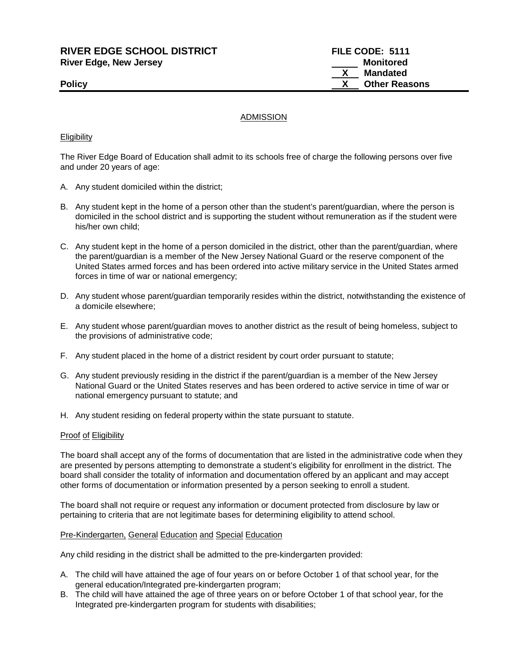**RIVER EDGE SCHOOL DISTRICT FILE CODE: 5111 River Edge, New Jersey Monitored Monitored** 

**Mandated Policy CONSERVING CONSERVANCE CONSERVANCE CONSERVANCE CONSERVANCE CONSERVANCE CONSERVANCE CONSERVANCE CONSERVANCE CONSERVANCE CONSERVANCE CONSERVANCE CONSERVANCE CONSERVANCE CONSERVANCE CONSERVANCE CONSERVANCE CONSERVAN** 

# ADMISSION

### **Eligibility**

The River Edge Board of Education shall admit to its schools free of charge the following persons over five and under 20 years of age:

- A. Any student domiciled within the district;
- B. Any student kept in the home of a person other than the student's parent/guardian, where the person is domiciled in the school district and is supporting the student without remuneration as if the student were his/her own child;
- C. Any student kept in the home of a person domiciled in the district, other than the parent/guardian, where the parent/guardian is a member of the New Jersey National Guard or the reserve component of the United States armed forces and has been ordered into active military service in the United States armed forces in time of war or national emergency;
- D. Any student whose parent/guardian temporarily resides within the district, notwithstanding the existence of a domicile elsewhere;
- E. Any student whose parent/guardian moves to another district as the result of being homeless, subject to the provisions of administrative code;
- F. Any student placed in the home of a district resident by court order pursuant to statute;
- G. Any student previously residing in the district if the parent/guardian is a member of the New Jersey National Guard or the United States reserves and has been ordered to active service in time of war or national emergency pursuant to statute; and
- H. Any student residing on federal property within the state pursuant to statute.

#### Proof of Eligibility

The board shall accept any of the forms of documentation that are listed in the administrative code when they are presented by persons attempting to demonstrate a student's eligibility for enrollment in the district. The board shall consider the totality of information and documentation offered by an applicant and may accept other forms of documentation or information presented by a person seeking to enroll a student.

The board shall not require or request any information or document protected from disclosure by law or pertaining to criteria that are not legitimate bases for determining eligibility to attend school.

#### Pre-Kindergarten, General Education and Special Education

Any child residing in the district shall be admitted to the pre-kindergarten provided:

- A. The child will have attained the age of four years on or before October 1 of that school year, for the general education/Integrated pre-kindergarten program;
- B. The child will have attained the age of three years on or before October 1 of that school year, for the Integrated pre-kindergarten program for students with disabilities;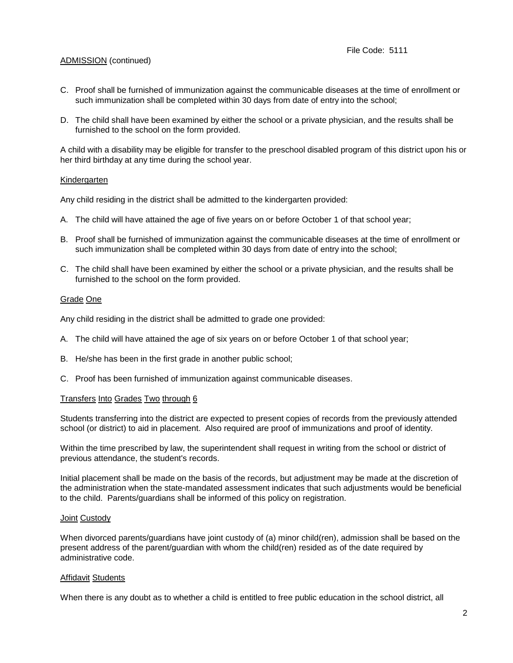# ADMISSION (continued)

- C. Proof shall be furnished of immunization against the communicable diseases at the time of enrollment or such immunization shall be completed within 30 days from date of entry into the school;
- D. The child shall have been examined by either the school or a private physician, and the results shall be furnished to the school on the form provided.

A child with a disability may be eligible for transfer to the preschool disabled program of this district upon his or her third birthday at any time during the school year.

# **Kindergarten**

Any child residing in the district shall be admitted to the kindergarten provided:

- A. The child will have attained the age of five years on or before October 1 of that school year;
- B. Proof shall be furnished of immunization against the communicable diseases at the time of enrollment or such immunization shall be completed within 30 days from date of entry into the school;
- C. The child shall have been examined by either the school or a private physician, and the results shall be furnished to the school on the form provided.

# Grade One

Any child residing in the district shall be admitted to grade one provided:

- A. The child will have attained the age of six years on or before October 1 of that school year;
- B. He/she has been in the first grade in another public school;
- C. Proof has been furnished of immunization against communicable diseases.

### Transfers Into Grades Two through 6

Students transferring into the district are expected to present copies of records from the previously attended school (or district) to aid in placement. Also required are proof of immunizations and proof of identity.

Within the time prescribed by law, the superintendent shall request in writing from the school or district of previous attendance, the student's records.

Initial placement shall be made on the basis of the records, but adjustment may be made at the discretion of the administration when the state-mandated assessment indicates that such adjustments would be beneficial to the child. Parents/guardians shall be informed of this policy on registration.

### Joint Custody

When divorced parents/guardians have joint custody of (a) minor child(ren), admission shall be based on the present address of the parent/guardian with whom the child(ren) resided as of the date required by administrative code.

### Affidavit Students

When there is any doubt as to whether a child is entitled to free public education in the school district, all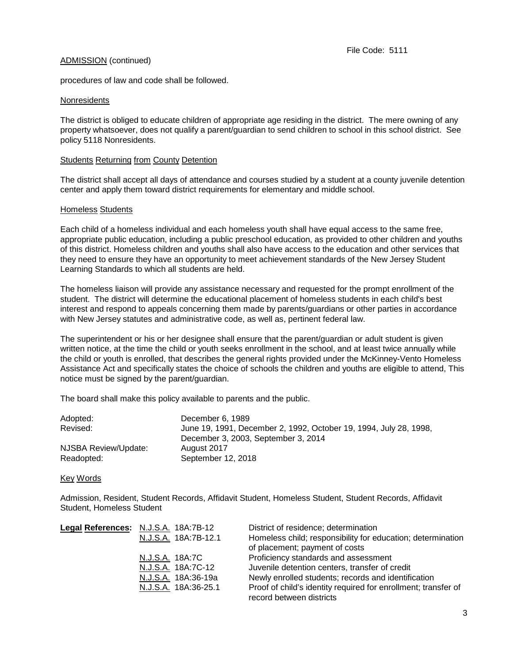# ADMISSION (continued)

procedures of law and code shall be followed.

# **Nonresidents**

The district is obliged to educate children of appropriate age residing in the district. The mere owning of any property whatsoever, does not qualify a parent/guardian to send children to school in this school district. See policy 5118 Nonresidents.

# Students Returning from County Detention

The district shall accept all days of attendance and courses studied by a student at a county juvenile detention center and apply them toward district requirements for elementary and middle school.

# Homeless Students

Each child of a homeless individual and each homeless youth shall have equal access to the same free, appropriate public education, including a public preschool education, as provided to other children and youths of this district. Homeless children and youths shall also have access to the education and other services that they need to ensure they have an opportunity to meet achievement standards of the New Jersey Student Learning Standards to which all students are held.

The homeless liaison will provide any assistance necessary and requested for the prompt enrollment of the student. The district will determine the educational placement of homeless students in each child's best interest and respond to appeals concerning them made by parents/guardians or other parties in accordance with New Jersey statutes and administrative code, as well as, pertinent federal law.

The superintendent or his or her designee shall ensure that the parent/guardian or adult student is given written notice, at the time the child or youth seeks enrollment in the school, and at least twice annually while the child or youth is enrolled, that describes the general rights provided under the McKinney-Vento Homeless Assistance Act and specifically states the choice of schools the children and youths are eligible to attend, This notice must be signed by the parent/guardian.

The board shall make this policy available to parents and the public.

| Adopted:             | December 6, 1989                                                  |  |  |
|----------------------|-------------------------------------------------------------------|--|--|
| Revised:             | June 19, 1991, December 2, 1992, October 19, 1994, July 28, 1998, |  |  |
|                      | December 3, 2003, September 3, 2014                               |  |  |
| NJSBA Review/Update: | August 2017                                                       |  |  |
| Readopted:           | September 12, 2018                                                |  |  |

### Key Words

Admission, Resident, Student Records, Affidavit Student, Homeless Student, Student Records, Affidavit Student, Homeless Student

| Legal References: N.J.S.A. 18A:7B-12 | District of residence; determination                                                          |
|--------------------------------------|-----------------------------------------------------------------------------------------------|
| N.J.S.A. 18A:7B-12.1                 | Homeless child; responsibility for education; determination<br>of placement; payment of costs |
| N.J.S.A. 18A:7C                      | Proficiency standards and assessment                                                          |
| <u>N.J.S.A.</u> 18A:7C-12            | Juvenile detention centers, transfer of credit                                                |
| N.J.S.A. 18A:36-19a                  | Newly enrolled students; records and identification                                           |
| N.J.S.A. 18A:36-25.1                 | Proof of child's identity required for enrollment; transfer of                                |
|                                      | record between districts                                                                      |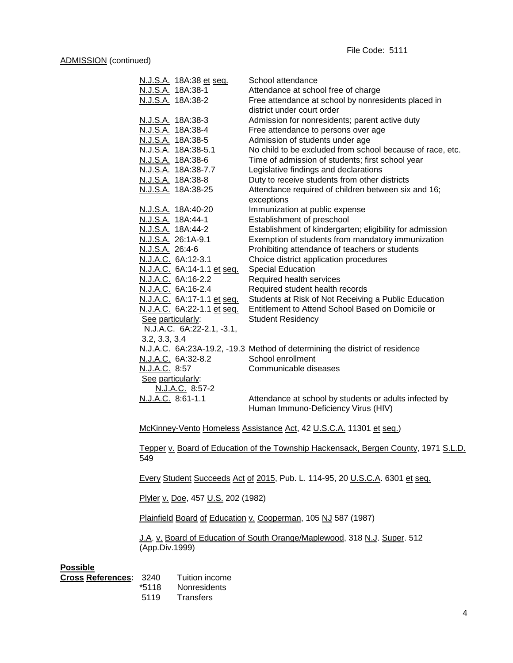| <u>N.J.S.A.</u> 18A:38 et seq. | School attendance                                                           |
|--------------------------------|-----------------------------------------------------------------------------|
| N.J.S.A. 18A:38-1              | Attendance at school free of charge                                         |
| N.J.S.A. 18A:38-2              | Free attendance at school by nonresidents placed in                         |
|                                | district under court order                                                  |
| N.J.S.A. 18A:38-3              | Admission for nonresidents; parent active duty                              |
| N.J.S.A. 18A:38-4              | Free attendance to persons over age                                         |
| N.J.S.A. 18A:38-5              | Admission of students under age                                             |
| N.J.S.A. 18A:38-5.1            | No child to be excluded from school because of race, etc.                   |
| N.J.S.A. 18A:38-6              | Time of admission of students; first school year                            |
| N.J.S.A. 18A:38-7.7            | Legislative findings and declarations                                       |
| N.J.S.A. 18A:38-8              | Duty to receive students from other districts                               |
| N.J.S.A. 18A:38-25             | Attendance required of children between six and 16;                         |
|                                | exceptions                                                                  |
| N.J.S.A. 18A:40-20             | Immunization at public expense                                              |
| N.J.S.A. 18A:44-1              | Establishment of preschool                                                  |
| N.J.S.A. 18A:44-2              | Establishment of kindergarten; eligibility for admission                    |
| N.J.S.A. 26:1A-9.1             | Exemption of students from mandatory immunization                           |
| N.J.S.A. 26:4-6                | Prohibiting attendance of teachers or students                              |
| N.J.A.C. 6A:12-3.1             | Choice district application procedures                                      |
| N.J.A.C. 6A:14-1.1 et seq.     | <b>Special Education</b>                                                    |
| N.J.A.C. 6A:16-2.2             | Required health services                                                    |
| N.J.A.C. 6A:16-2.4             | Required student health records                                             |
| N.J.A.C. 6A:17-1.1 et seq.     | Students at Risk of Not Receiving a Public Education                        |
| N.J.A.C. 6A:22-1.1 et seq.     | Entitlement to Attend School Based on Domicile or                           |
| See particularly:              | <b>Student Residency</b>                                                    |
| N.J.A.C. 6A:22-2.1, -3.1,      |                                                                             |
| 3.2, 3.3, 3.4                  |                                                                             |
|                                | N.J.A.C. 6A:23A-19.2, -19.3 Method of determining the district of residence |
| N.J.A.C. 6A:32-8.2             | School enrollment                                                           |
| N.J.A.C. 8:57                  | Communicable diseases                                                       |
| See particularly:              |                                                                             |
| N.J.A.C. 8:57-2                |                                                                             |
| N.J.A.C. 8:61-1.1              | Attendance at school by students or adults infected by                      |
|                                | Human Immuno-Deficiency Virus (HIV)                                         |
|                                |                                                                             |

McKinney-Vento Homeless Assistance Act, 42 U.S.C.A. 11301 et seq.)

Tepper v. Board of Education of the Township Hackensack, Bergen County, 1971 S.L.D. 549

Every Student Succeeds Act of 2015, Pub. L. 114-95, 20 U.S.C.A. 6301 et seq.

Plyler v. Doe, 457 U.S. 202 (1982)

Plainfield Board of Education v. Cooperman, 105 NJ 587 (1987)

J.A. v. Board of Education of South Orange/Maplewood, 318 N.J. Super. 512 (App.Div.1999)

# **Possible**

| Cross References: 3240 |       | Tuition income      |
|------------------------|-------|---------------------|
|                        | *5118 | <b>Nonresidents</b> |
|                        | 5119  | Transfers           |